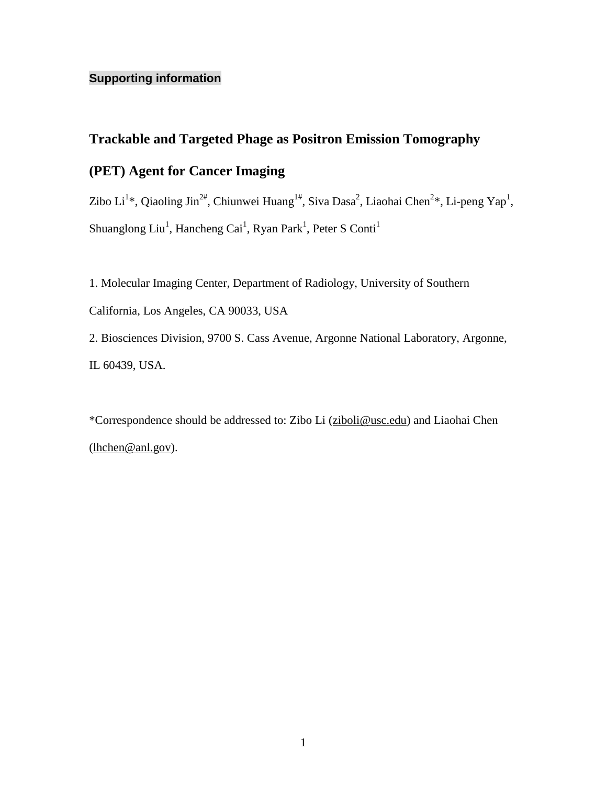## **Supporting information**

## **Trackable and Targeted Phage as Positron Emission Tomography**

## **(PET) Agent for Cancer Imaging**

Zibo Li<sup>1</sup>\*, Qiaoling Jin<sup>2#</sup>, Chiunwei Huang<sup>1#</sup>, Siva Dasa<sup>2</sup>, Liaohai Chen<sup>2</sup>\*, Li-peng Yap<sup>1</sup>, Shuanglong Liu<sup>1</sup>, Hancheng Cai<sup>1</sup>, Ryan Park<sup>1</sup>, Peter S Conti<sup>1</sup>

1. Molecular Imaging Center, Department of Radiology, University of Southern California, Los Angeles, CA 90033, USA 2. Biosciences Division, 9700 S. Cass Avenue, Argonne National Laboratory, Argonne, IL 60439, USA.

\*Correspondence should be addressed to: Zibo Li [\(ziboli@usc.edu\)](mailto:ziboli@usc.edu) and Liaohai Chen [\(lhchen@anl.gov\)](mailto:lhchen@anl.gov).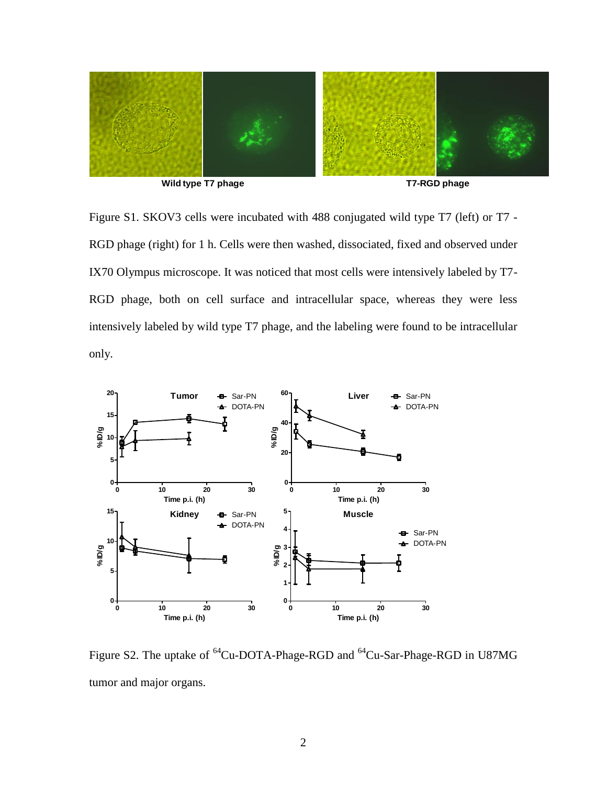

Figure S1. SKOV3 cells were incubated with 488 conjugated wild type T7 (left) or T7 - RGD phage (right) for 1 h. Cells were then washed, dissociated, fixed and observed under IX70 Olympus microscope. It was noticed that most cells were intensively labeled by T7- RGD phage, both on cell surface and intracellular space, whereas they were less intensively labeled by wild type T7 phage, and the labeling were found to be intracellular only.



Figure S2. The uptake of <sup>64</sup>Cu-DOTA-Phage-RGD and <sup>64</sup>Cu-Sar-Phage-RGD in U87MG tumor and major organs.